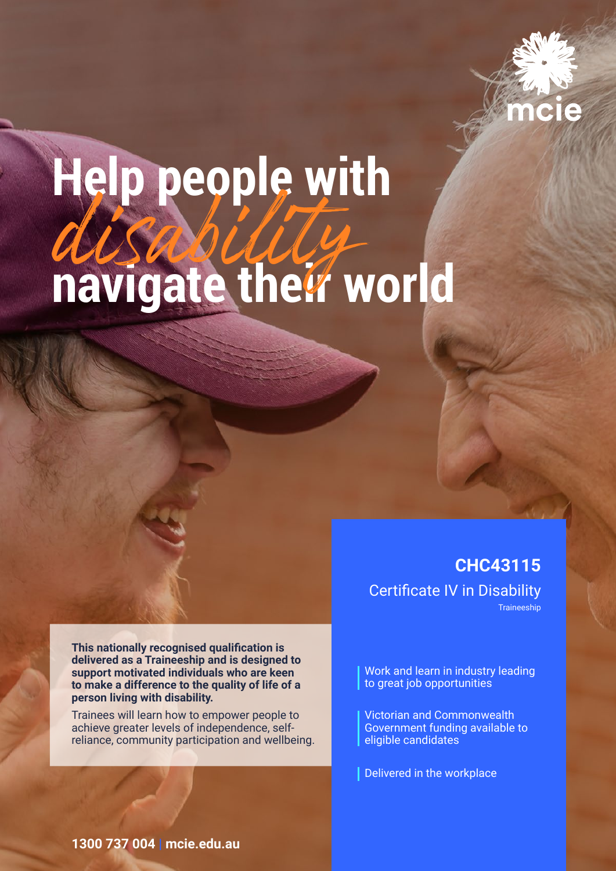

# **Help people with navigate their world** disability

**This nationally recognised qualification is delivered as a Traineeship and is designed to support motivated individuals who are keen to make a difference to the quality of life of a person living with disability.**

Trainees will learn how to empower people to achieve greater levels of independence, selfreliance, community participation and wellbeing.

**CHC43115**  Certificate IV in Disability Traineeship

Work and learn in industry leading to great job opportunities

Victorian and Commonwealth Government funding available to eligible candidates

Delivered in the workplace

### **1300 737 004 | mcie.edu.au**